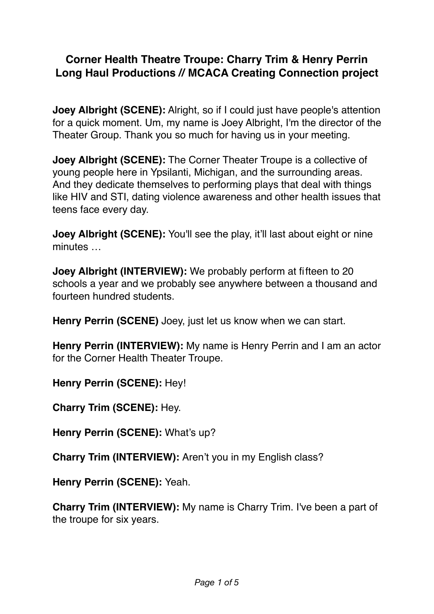## **Corner Health Theatre Troupe: Charry Trim & Henry Perrin Long Haul Productions // MCACA Creating Connection project**

**Joey Albright (SCENE):** Alright, so if I could just have people's attention for a quick moment. Um, my name is Joey Albright, I'm the director of the Theater Group. Thank you so much for having us in your meeting.

**Joey Albright (SCENE):** The Corner Theater Troupe is a collective of young people here in Ypsilanti, Michigan, and the surrounding areas. And they dedicate themselves to performing plays that deal with things like HIV and STI, dating violence awareness and other health issues that teens face every day.

**Joey Albright (SCENE):** You'll see the play, it'll last about eight or nine minutes …

**Joey Albright (INTERVIEW):** We probably perform at fifteen to 20 schools a year and we probably see anywhere between a thousand and fourteen hundred students.

**Henry Perrin (SCENE)** Joey, just let us know when we can start.

**Henry Perrin (INTERVIEW):** My name is Henry Perrin and I am an actor for the Corner Health Theater Troupe.

**Henry Perrin (SCENE):** Hey!

**Charry Trim (SCENE):** Hey.

**Henry Perrin (SCENE): What's up?** 

**Charry Trim (INTERVIEW):** Aren't you in my English class?

**Henry Perrin (SCENE):** Yeah.

**Charry Trim (INTERVIEW):** My name is Charry Trim. I've been a part of the troupe for six years.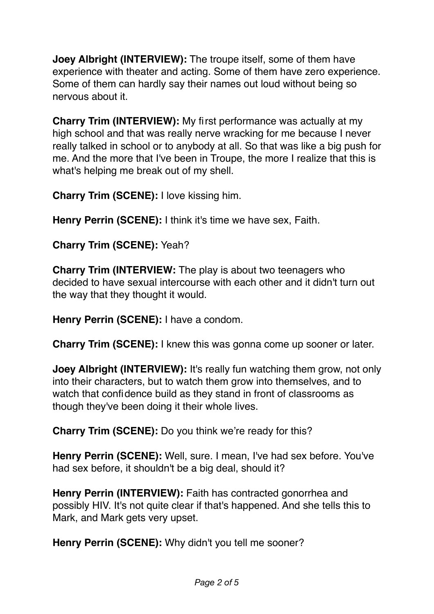**Joey Albright (INTERVIEW):** The troupe itself, some of them have experience with theater and acting. Some of them have zero experience. Some of them can hardly say their names out loud without being so nervous about it.

**Charry Trim (INTERVIEW):** My first performance was actually at my high school and that was really nerve wracking for me because I never really talked in school or to anybody at all. So that was like a big push for me. And the more that I've been in Troupe, the more I realize that this is what's helping me break out of my shell.

**Charry Trim (SCENE):** I love kissing him.

**Henry Perrin (SCENE):** I think it's time we have sex. Faith.

**Charry Trim (SCENE):** Yeah?

**Charry Trim (INTERVIEW:** The play is about two teenagers who decided to have sexual intercourse with each other and it didn't turn out the way that they thought it would.

**Henry Perrin (SCENE):** I have a condom.

**Charry Trim (SCENE):** I knew this was gonna come up sooner or later.

**Joey Albright (INTERVIEW):** It's really fun watching them grow, not only into their characters, but to watch them grow into themselves, and to watch that confidence build as they stand in front of classrooms as though they've been doing it their whole lives.

**Charry Trim (SCENE):** Do you think we're ready for this?

**Henry Perrin (SCENE):** Well, sure. I mean, I've had sex before. You've had sex before, it shouldn't be a big deal, should it?

**Henry Perrin (INTERVIEW):** Faith has contracted gonorrhea and possibly HIV. It's not quite clear if that's happened. And she tells this to Mark, and Mark gets very upset.

**Henry Perrin (SCENE):** Why didn't you tell me sooner?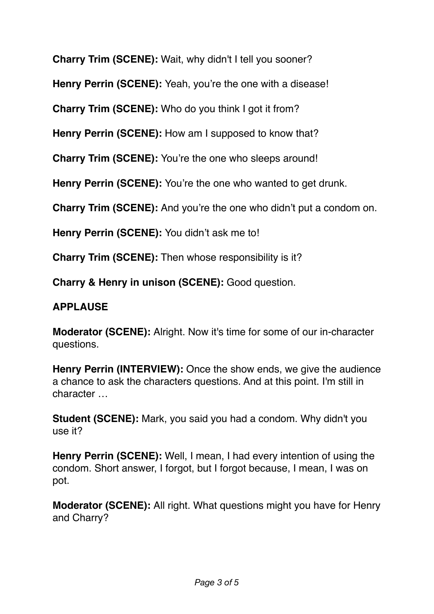**Charry Trim (SCENE):** Wait, why didn't I tell you sooner?

**Henry Perrin (SCENE):** Yeah, you're the one with a disease!

**Charry Trim (SCENE):** Who do you think I got it from?

**Henry Perrin (SCENE):** How am I supposed to know that?

**Charry Trim (SCENE):** You're the one who sleeps around!

**Henry Perrin (SCENE):** You're the one who wanted to get drunk.

**Charry Trim (SCENE):** And you're the one who didn't put a condom on.

**Henry Perrin (SCENE):** You didn't ask me to!

**Charry Trim (SCENE):** Then whose responsibility is it?

**Charry & Henry in unison (SCENE):** Good question.

## **APPLAUSE**

**Moderator (SCENE):** Alright. Now it's time for some of our in-character questions.

**Henry Perrin (INTERVIEW):** Once the show ends, we give the audience a chance to ask the characters questions. And at this point. I'm still in character …

**Student (SCENE):** Mark, you said you had a condom. Why didn't you use it?

**Henry Perrin (SCENE):** Well, I mean, I had every intention of using the condom. Short answer, I forgot, but I forgot because, I mean, I was on pot.

**Moderator (SCENE):** All right. What questions might you have for Henry and Charry?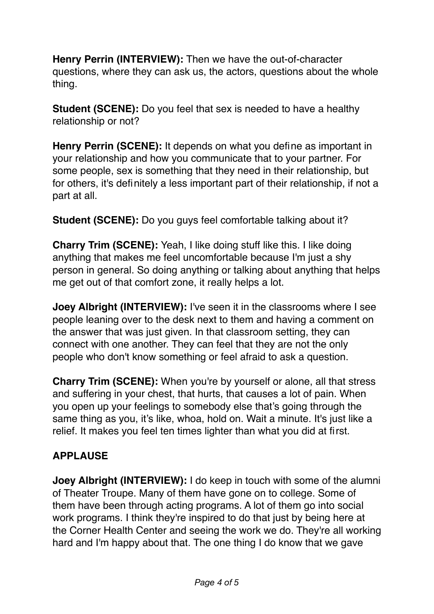**Henry Perrin (INTERVIEW):** Then we have the out-of-character questions, where they can ask us, the actors, questions about the whole thing.

**Student (SCENE):** Do you feel that sex is needed to have a healthy relationship or not?

**Henry Perrin (SCENE):** It depends on what you define as important in your relationship and how you communicate that to your partner. For some people, sex is something that they need in their relationship, but for others, it's definitely a less important part of their relationship, if not a part at all.

**Student (SCENE):** Do you guys feel comfortable talking about it?

**Charry Trim (SCENE):** Yeah, I like doing stuff like this. I like doing anything that makes me feel uncomfortable because I'm just a shy person in general. So doing anything or talking about anything that helps me get out of that comfort zone, it really helps a lot.

**Joey Albright (INTERVIEW):** I've seen it in the classrooms where I see people leaning over to the desk next to them and having a comment on the answer that was just given. In that classroom setting, they can connect with one another. They can feel that they are not the only people who don't know something or feel afraid to ask a question.

**Charry Trim (SCENE):** When you're by yourself or alone, all that stress and suffering in your chest, that hurts, that causes a lot of pain. When you open up your feelings to somebody else that's going through the same thing as you, it's like, whoa, hold on. Wait a minute. It's just like a relief. It makes you feel ten times lighter than what you did at first.

## **APPLAUSE**

**Joey Albright (INTERVIEW):** I do keep in touch with some of the alumni of Theater Troupe. Many of them have gone on to college. Some of them have been through acting programs. A lot of them go into social work programs. I think they're inspired to do that just by being here at the Corner Health Center and seeing the work we do. They're all working hard and I'm happy about that. The one thing I do know that we gave